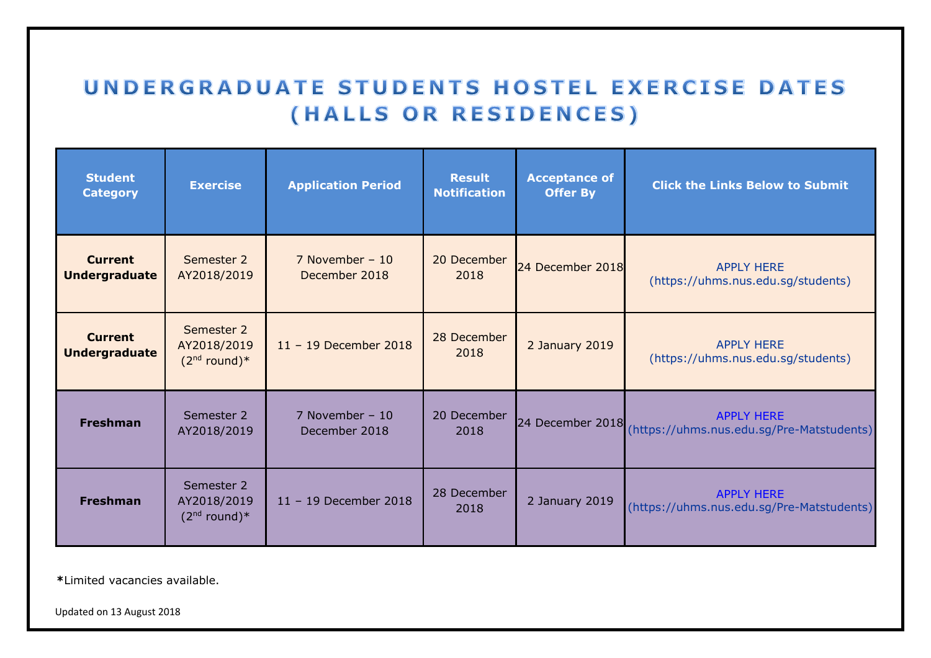## UNDERGRADUATE STUDENTS HOSTEL EXERCISE DATES (HALLS OR RESIDENCES)

| <b>Student</b><br><b>Category</b>      | <b>Exercise</b>                             | <b>Application Period</b>          | <b>Result</b><br><b>Notification</b> | <b>Acceptance of</b><br><b>Offer By</b> | <b>Click the Links Below to Submit</b>                         |
|----------------------------------------|---------------------------------------------|------------------------------------|--------------------------------------|-----------------------------------------|----------------------------------------------------------------|
| <b>Current</b><br><b>Undergraduate</b> | Semester 2<br>AY2018/2019                   | 7 November – $10$<br>December 2018 | 20 December<br>2018                  | 24 December 2018                        | <b>APPLY HERE</b><br>(https://uhms.nus.edu.sg/students)        |
| <b>Current</b><br><b>Undergraduate</b> | Semester 2<br>AY2018/2019<br>$(2nd round)*$ | $11 - 19$ December 2018            | 28 December<br>2018                  | 2 January 2019                          | <b>APPLY HERE</b><br>(https://uhms.nus.edu.sg/students)        |
| <b>Freshman</b>                        | Semester 2<br>AY2018/2019                   | 7 November – $10$<br>December 2018 | 20 December<br>2018                  | 24 December 2018                        | <b>APPLY HERE</b><br>(https://uhms.nus.edu.sg/Pre-Matstudents) |
| <b>Freshman</b>                        | Semester 2<br>AY2018/2019<br>$(2nd round)*$ | 11 - 19 December 2018              | 28 December<br>2018                  | 2 January 2019                          | <b>APPLY HERE</b><br>(https://uhms.nus.edu.sg/Pre-Matstudents) |

**\***Limited vacancies available.

Updated on 13 August 2018